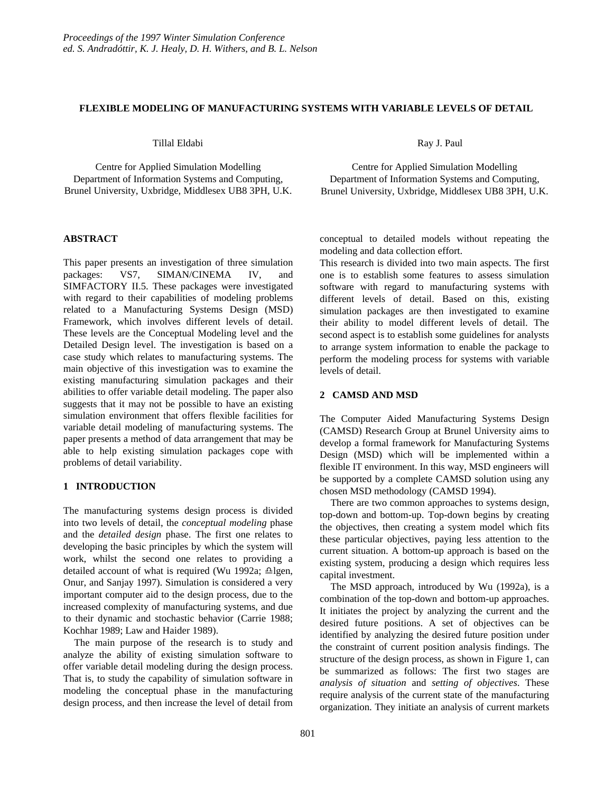## **FLEXIBLE MODELING OF MANUFACTURING SYSTEMS WITH VARIABLE LEVELS OF DETAIL**

Tillal Eldabi

Centre for Applied Simulation Modelling Department of Information Systems and Computing, Brunel University, Uxbridge, Middlesex UB8 3PH, U.K.

## **ABSTRACT**

This paper presents an investigation of three simulation packages: VS7, SIMAN/CINEMA IV, and SIMFACTORY II.5. These packages were investigated with regard to their capabilities of modeling problems related to a Manufacturing Systems Design (MSD) Framework, which involves different levels of detail. These levels are the Conceptual Modeling level and the Detailed Design level. The investigation is based on a case study which relates to manufacturing systems. The main objective of this investigation was to examine the existing manufacturing simulation packages and their abilities to offer variable detail modeling. The paper also suggests that it may not be possible to have an existing simulation environment that offers flexible facilities for variable detail modeling of manufacturing systems. The paper presents a method of data arrangement that may be able to help existing simulation packages cope with problems of detail variability.

# **1 INTRODUCTION**

The manufacturing systems design process is divided into two levels of detail, the *conceptual modeling* phase and the *detailed design* phase. The first one relates to developing the basic principles by which the system will work, whilst the second one relates to providing a detailed account of what is required (Wu 1992a;  $\triangle$ lgen, Onur, and Sanjay 1997). Simulation is considered a very important computer aid to the design process, due to the increased complexity of manufacturing systems, and due to their dynamic and stochastic behavior (Carrie 1988; Kochhar 1989; Law and Haider 1989).

The main purpose of the research is to study and analyze the ability of existing simulation software to offer variable detail modeling during the design process. That is, to study the capability of simulation software in modeling the conceptual phase in the manufacturing design process, and then increase the level of detail from Ray J. Paul

Centre for Applied Simulation Modelling Department of Information Systems and Computing, Brunel University, Uxbridge, Middlesex UB8 3PH, U.K.

conceptual to detailed models without repeating the modeling and data collection effort.

This research is divided into two main aspects. The first one is to establish some features to assess simulation software with regard to manufacturing systems with different levels of detail. Based on this, existing simulation packages are then investigated to examine their ability to model different levels of detail. The second aspect is to establish some guidelines for analysts to arrange system information to enable the package to perform the modeling process for systems with variable levels of detail.

## **2 CAMSD AND MSD**

The Computer Aided Manufacturing Systems Design (CAMSD) Research Group at Brunel University aims to develop a formal framework for Manufacturing Systems Design (MSD) which will be implemented within a flexible IT environment. In this way, MSD engineers will be supported by a complete CAMSD solution using any chosen MSD methodology (CAMSD 1994).

There are two common approaches to systems design, top-down and bottom-up. Top-down begins by creating the objectives, then creating a system model which fits these particular objectives, paying less attention to the current situation. A bottom-up approach is based on the existing system, producing a design which requires less capital investment.

The MSD approach, introduced by Wu (1992a), is a combination of the top-down and bottom-up approaches. It initiates the project by analyzing the current and the desired future positions. A set of objectives can be identified by analyzing the desired future position under the constraint of current position analysis findings. The structure of the design process, as shown in Figure 1, can be summarized as follows: The first two stages are *analysis of situation* and *setting of objectives*. These require analysis of the current state of the manufacturing organization. They initiate an analysis of current markets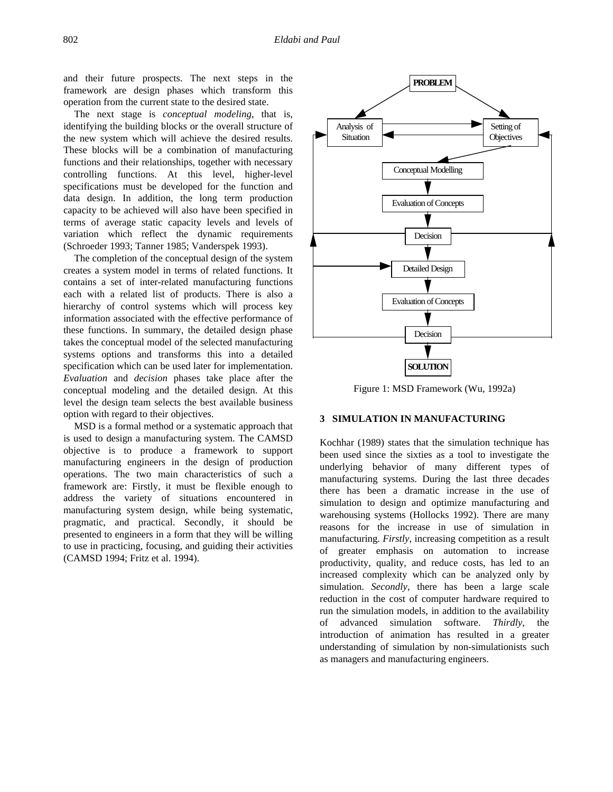and their future prospects. The next steps in the framework are design phases which transform this operation from the current state to the desired state.

The next stage is *conceptual modeling*, that is, identifying the building blocks or the overall structure of the new system which will achieve the desired results. These blocks will be a combination of manufacturing functions and their relationships, together with necessary controlling functions. At this level, higher-level specifications must be developed for the function and data design. In addition, the long term production capacity to be achieved will also have been specified in terms of average static capacity levels and levels of variation which reflect the dynamic requirements (Schroeder 1993; Tanner 1985; Vanderspek 1993).

The completion of the conceptual design of the system creates a system model in terms of related functions. It contains a set of inter-related manufacturing functions each with a related list of products. There is also a hierarchy of control systems which will process key information associated with the effective performance of these functions. In summary, the detailed design phase takes the conceptual model of the selected manufacturing systems options and transforms this into a detailed specification which can be used later for implementation. *Evaluation* and *decision* phases take place after the conceptual modeling and the detailed design. At this level the design team selects the best available business option with regard to their objectives.

MSD is a formal method or a systematic approach that is used to design a manufacturing system. The CAMSD objective is to produce a framework to support manufacturing engineers in the design of production operations. The two main characteristics of such a framework are: Firstly, it must be flexible enough to address the variety of situations encountered in manufacturing system design, while being systematic, pragmatic, and practical. Secondly, it should be presented to engineers in a form that they will be willing to use in practicing, focusing, and guiding their activities (CAMSD 1994; Fritz et al. 1994).



Figure 1: MSD Framework (Wu, 1992a)

# **3 SIMULATION IN MANUFACTURING**

Kochhar (1989) states that the simulation technique has been used since the sixties as a tool to investigate the underlying behavior of many different types of manufacturing systems. During the last three decades there has been a dramatic increase in the use of simulation to design and optimize manufacturing and warehousing systems (Hollocks 1992). There are many reasons for the increase in use of simulation in manufacturing. *Firstly*, increasing competition as a result of greater emphasis on automation to increase productivity, quality, and reduce costs, has led to an increased complexity which can be analyzed only by simulation. *Secondly*, there has been a large scale reduction in the cost of computer hardware required to run the simulation models, in addition to the availability of advanced simulation software. *Thirdly*, the introduction of animation has resulted in a greater understanding of simulation by non-simulationists such as managers and manufacturing engineers.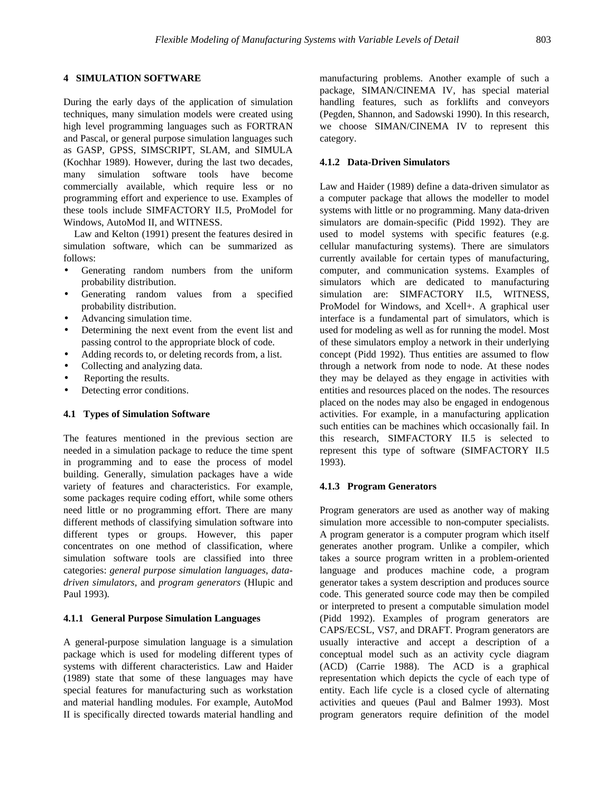## **4 SIMULATION SOFTWARE**

During the early days of the application of simulation techniques, many simulation models were created using high level programming languages such as FORTRAN and Pascal, or general purpose simulation languages such as GASP, GPSS, SIMSCRIPT, SLAM, and SIMULA (Kochhar 1989). However, during the last two decades, many simulation software tools have become commercially available, which require less or no programming effort and experience to use. Examples of these tools include SIMFACTORY II.5, ProModel for Windows, AutoMod II, and WITNESS.

Law and Kelton (1991) present the features desired in simulation software, which can be summarized as follows:

- Generating random numbers from the uniform probability distribution.
- Generating random values from a specified probability distribution.
- Advancing simulation time.
- Determining the next event from the event list and passing control to the appropriate block of code.
- Adding records to, or deleting records from, a list.
- Collecting and analyzing data.
- Reporting the results.
- Detecting error conditions.

## **4.1 Types of Simulation Software**

The features mentioned in the previous section are needed in a simulation package to reduce the time spent in programming and to ease the process of model building. Generally, simulation packages have a wide variety of features and characteristics. For example, some packages require coding effort, while some others need little or no programming effort. There are many different methods of classifying simulation software into different types or groups. However, this paper concentrates on one method of classification, where simulation software tools are classified into three categories: *general purpose simulation languages*, *datadriven simulators,* and *program generators* (Hlupic and Paul 1993)*.*

#### **4.1.1 General Purpose Simulation Languages**

A general-purpose simulation language is a simulation package which is used for modeling different types of systems with different characteristics. Law and Haider (1989) state that some of these languages may have special features for manufacturing such as workstation and material handling modules. For example, AutoMod II is specifically directed towards material handling and manufacturing problems. Another example of such a package, SIMAN/CINEMA IV, has special material handling features, such as forklifts and conveyors (Pegden, Shannon, and Sadowski 1990). In this research, we choose SIMAN/CINEMA IV to represent this category.

## **4.1.2 Data-Driven Simulators**

Law and Haider (1989) define a data-driven simulator as a computer package that allows the modeller to model systems with little or no programming. Many data-driven simulators are domain-specific (Pidd 1992). They are used to model systems with specific features (e.g. cellular manufacturing systems). There are simulators currently available for certain types of manufacturing, computer, and communication systems. Examples of simulators which are dedicated to manufacturing simulation are: SIMFACTORY II.5, WITNESS, ProModel for Windows, and Xcell+. A graphical user interface is a fundamental part of simulators, which is used for modeling as well as for running the model. Most of these simulators employ a network in their underlying concept (Pidd 1992). Thus entities are assumed to flow through a network from node to node. At these nodes they may be delayed as they engage in activities with entities and resources placed on the nodes. The resources placed on the nodes may also be engaged in endogenous activities. For example, in a manufacturing application such entities can be machines which occasionally fail. In this research, SIMFACTORY II.5 is selected to represent this type of software (SIMFACTORY II.5 1993).

## **4.1.3 Program Generators**

Program generators are used as another way of making simulation more accessible to non-computer specialists. A program generator is a computer program which itself generates another program. Unlike a compiler, which takes a source program written in a problem-oriented language and produces machine code, a program generator takes a system description and produces source code. This generated source code may then be compiled or interpreted to present a computable simulation model (Pidd 1992). Examples of program generators are CAPS/ECSL, VS7, and DRAFT. Program generators are usually interactive and accept a description of a conceptual model such as an activity cycle diagram (ACD) (Carrie 1988). The ACD is a graphical representation which depicts the cycle of each type of entity. Each life cycle is a closed cycle of alternating activities and queues (Paul and Balmer 1993). Most program generators require definition of the model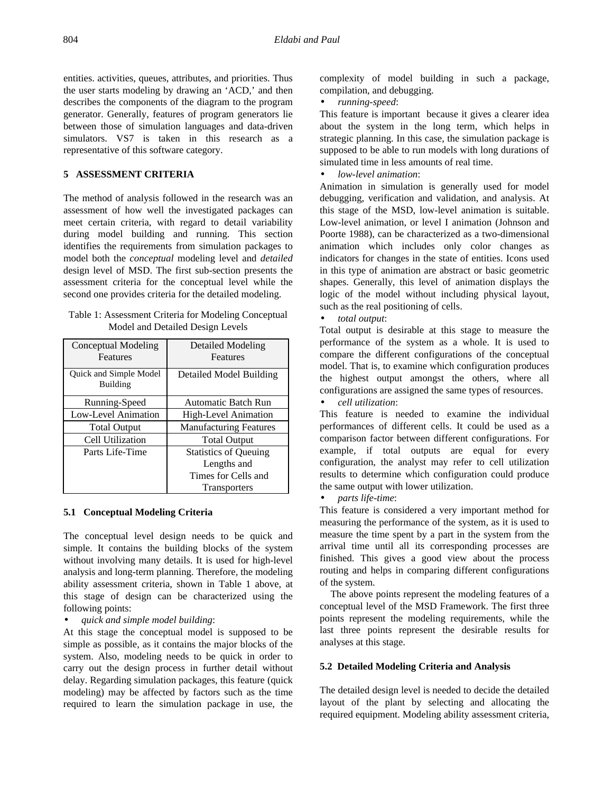entities. activities, queues, attributes, and priorities. Thus the user starts modeling by drawing an 'ACD,' and then describes the components of the diagram to the program generator. Generally, features of program generators lie between those of simulation languages and data-driven simulators. VS7 is taken in this research as a representative of this software category.

## **5 ASSESSMENT CRITERIA**

The method of analysis followed in the research was an assessment of how well the investigated packages can meet certain criteria, with regard to detail variability during model building and running. This section identifies the requirements from simulation packages to model both the *conceptual* modeling level and *detailed* design level of MSD. The first sub-section presents the assessment criteria for the conceptual level while the second one provides criteria for the detailed modeling.

| Table 1: Assessment Criteria for Modeling Conceptual |  |
|------------------------------------------------------|--|
| Model and Detailed Design Levels                     |  |

| Conceptual Modeling<br>Features           | <b>Detailed Modeling</b><br>Features        |
|-------------------------------------------|---------------------------------------------|
| Quick and Simple Model<br><b>Building</b> | Detailed Model Building                     |
| Running-Speed                             | <b>Automatic Batch Run</b>                  |
| Low-Level Animation                       | High-Level Animation                        |
| <b>Total Output</b>                       | <b>Manufacturing Features</b>               |
| Cell Utilization                          | <b>Total Output</b>                         |
| Parts Life-Time                           | <b>Statistics of Queuing</b><br>Lengths and |
|                                           | Times for Cells and                         |
|                                           | <b>Transporters</b>                         |

## **5.1 Conceptual Modeling Criteria**

The conceptual level design needs to be quick and simple. It contains the building blocks of the system without involving many details. It is used for high-level analysis and long-term planning. Therefore, the modeling ability assessment criteria, shown in Table 1 above, at this stage of design can be characterized using the following points:

• *quick and simple model building*:

At this stage the conceptual model is supposed to be simple as possible, as it contains the major blocks of the system. Also, modeling needs to be quick in order to carry out the design process in further detail without delay. Regarding simulation packages, this feature (quick modeling) may be affected by factors such as the time required to learn the simulation package in use, the

complexity of model building in such a package, compilation, and debugging.

• *running-speed*:

This feature is important because it gives a clearer idea about the system in the long term, which helps in strategic planning. In this case, the simulation package is supposed to be able to run models with long durations of simulated time in less amounts of real time.

• *low-level animation*:

Animation in simulation is generally used for model debugging, verification and validation, and analysis. At this stage of the MSD, low-level animation is suitable. Low-level animation, or level I animation (Johnson and Poorte 1988), can be characterized as a two-dimensional animation which includes only color changes as indicators for changes in the state of entities. Icons used in this type of animation are abstract or basic geometric shapes. Generally, this level of animation displays the logic of the model without including physical layout, such as the real positioning of cells.

• *total output*:

Total output is desirable at this stage to measure the performance of the system as a whole. It is used to compare the different configurations of the conceptual model. That is, to examine which configuration produces the highest output amongst the others, where all configurations are assigned the same types of resources.

• *cell utilization*:

This feature is needed to examine the individual performances of different cells. It could be used as a comparison factor between different configurations. For example, if total outputs are equal for every configuration, the analyst may refer to cell utilization results to determine which configuration could produce the same output with lower utilization.

• *parts life-time*:

This feature is considered a very important method for measuring the performance of the system, as it is used to measure the time spent by a part in the system from the arrival time until all its corresponding processes are finished. This gives a good view about the process routing and helps in comparing different configurations of the system.

The above points represent the modeling features of a conceptual level of the MSD Framework. The first three points represent the modeling requirements, while the last three points represent the desirable results for analyses at this stage.

## **5.2 Detailed Modeling Criteria and Analysis**

The detailed design level is needed to decide the detailed layout of the plant by selecting and allocating the required equipment. Modeling ability assessment criteria,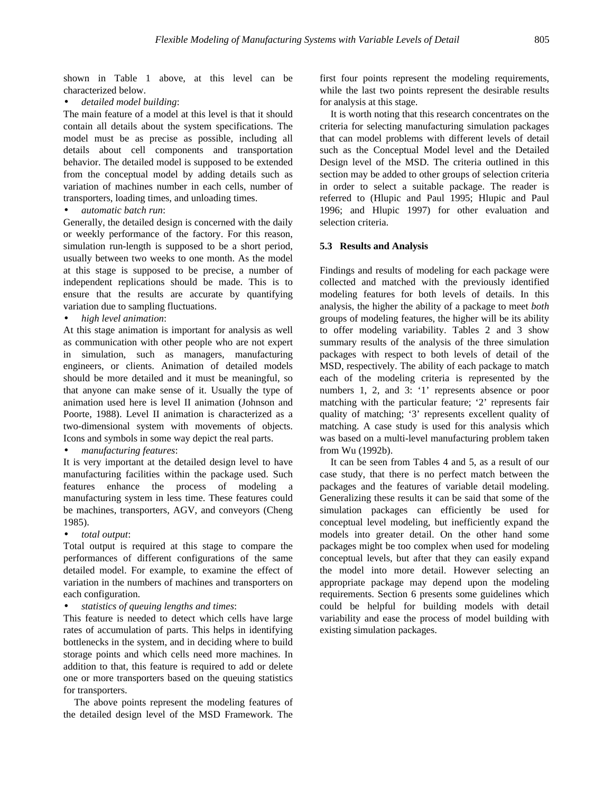shown in Table 1 above, at this level can be characterized below.

• *detailed model building*:

The main feature of a model at this level is that it should contain all details about the system specifications. The model must be as precise as possible, including all details about cell components and transportation behavior. The detailed model is supposed to be extended from the conceptual model by adding details such as variation of machines number in each cells, number of transporters, loading times, and unloading times.

• *automatic batch run*:

Generally, the detailed design is concerned with the daily or weekly performance of the factory. For this reason, simulation run-length is supposed to be a short period, usually between two weeks to one month. As the model at this stage is supposed to be precise, a number of independent replications should be made. This is to ensure that the results are accurate by quantifying variation due to sampling fluctuations.

• *high level animation*:

At this stage animation is important for analysis as well as communication with other people who are not expert in simulation, such as managers, manufacturing engineers, or clients. Animation of detailed models should be more detailed and it must be meaningful, so that anyone can make sense of it. Usually the type of animation used here is level II animation (Johnson and Poorte, 1988). Level II animation is characterized as a two-dimensional system with movements of objects. Icons and symbols in some way depict the real parts.

• *manufacturing features*:

It is very important at the detailed design level to have manufacturing facilities within the package used. Such features enhance the process of modeling a manufacturing system in less time. These features could be machines, transporters, AGV, and conveyors (Cheng 1985).

• *total output*:

Total output is required at this stage to compare the performances of different configurations of the same detailed model. For example, to examine the effect of variation in the numbers of machines and transporters on each configuration.

• *statistics of queuing lengths and times*:

This feature is needed to detect which cells have large rates of accumulation of parts. This helps in identifying bottlenecks in the system, and in deciding where to build storage points and which cells need more machines. In addition to that, this feature is required to add or delete one or more transporters based on the queuing statistics for transporters.

The above points represent the modeling features of the detailed design level of the MSD Framework. The

first four points represent the modeling requirements, while the last two points represent the desirable results for analysis at this stage.

It is worth noting that this research concentrates on the criteria for selecting manufacturing simulation packages that can model problems with different levels of detail such as the Conceptual Model level and the Detailed Design level of the MSD. The criteria outlined in this section may be added to other groups of selection criteria in order to select a suitable package. The reader is referred to (Hlupic and Paul 1995; Hlupic and Paul 1996; and Hlupic 1997) for other evaluation and selection criteria.

## **5.3 Results and Analysis**

Findings and results of modeling for each package were collected and matched with the previously identified modeling features for both levels of details. In this analysis, the higher the ability of a package to meet *both* groups of modeling features, the higher will be its ability to offer modeling variability. Tables 2 and 3 show summary results of the analysis of the three simulation packages with respect to both levels of detail of the MSD, respectively. The ability of each package to match each of the modeling criteria is represented by the numbers 1, 2, and 3: '1' represents absence or poor matching with the particular feature; '2' represents fair quality of matching; '3' represents excellent quality of matching. A case study is used for this analysis which was based on a multi-level manufacturing problem taken from Wu (1992b).

It can be seen from Tables 4 and 5, as a result of our case study, that there is no perfect match between the packages and the features of variable detail modeling. Generalizing these results it can be said that some of the simulation packages can efficiently be used for conceptual level modeling, but inefficiently expand the models into greater detail. On the other hand some packages might be too complex when used for modeling conceptual levels, but after that they can easily expand the model into more detail. However selecting an appropriate package may depend upon the modeling requirements. Section 6 presents some guidelines which could be helpful for building models with detail variability and ease the process of model building with existing simulation packages.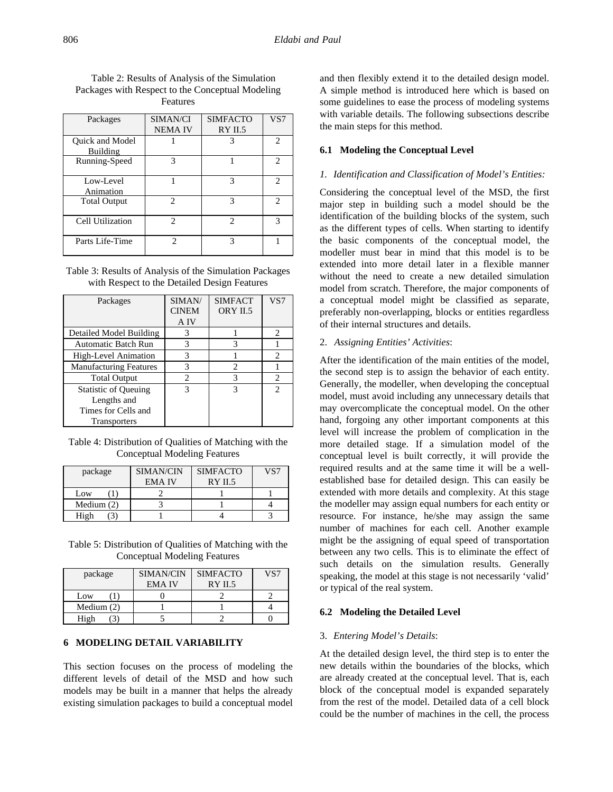| Packages                           | SIMAN/CI       | <b>SIMFACTO</b> | VS7                         |
|------------------------------------|----------------|-----------------|-----------------------------|
|                                    | <b>NEMAIV</b>  | RYII.5          |                             |
| Quick and Model<br><b>Building</b> |                | 3               | $\mathfrak{D}$              |
| Running-Speed                      | 3              |                 | 2                           |
| Low-Level<br>Animation             |                | 3               | 2                           |
| <b>Total Output</b>                | $\mathfrak{D}$ | 3               | $\mathcal{D}_{\mathcal{L}}$ |
| Cell Utilization                   | $\mathfrak{D}$ | っ               | 3                           |
| Parts Life-Time                    | $\mathfrak{D}$ | 3               |                             |

Table 2: Results of Analysis of the Simulation Packages with Respect to the Conceptual Modeling Features

Table 3: Results of Analysis of the Simulation Packages with Respect to the Detailed Design Features

| Packages                      | SIMAN/<br><b>CINEM</b><br>A IV | <b>SIMFACT</b><br>ORY II.5 | VS7                         |
|-------------------------------|--------------------------------|----------------------------|-----------------------------|
| Detailed Model Building       | 3                              |                            | $\mathcal{D}_{\mathcal{L}}$ |
| <b>Automatic Batch Run</b>    | 3                              | 3                          |                             |
| High-Level Animation          | 3                              |                            | 2                           |
| <b>Manufacturing Features</b> | 3                              | 2                          |                             |
| <b>Total Output</b>           | $\mathfrak{D}$                 | 3                          | 2                           |
| <b>Statistic of Queuing</b>   | 3                              | 3                          | $\mathfrak{D}$              |
| Lengths and                   |                                |                            |                             |
| Times for Cells and           |                                |                            |                             |
| <b>Transporters</b>           |                                |                            |                             |

Table 4: Distribution of Qualities of Matching with the Conceptual Modeling Features

| package      | SIMAN/CIN     | <b>SIMFACTO</b> | VS7 |
|--------------|---------------|-----------------|-----|
|              | <b>EMA IV</b> | <b>RY IL5</b>   |     |
| Low          |               |                 |     |
| Medium $(2)$ |               |                 |     |
| High         |               |                 |     |

Table 5: Distribution of Qualities of Matching with the Conceptual Modeling Features

| package      | <b>SIMAN/CIN</b><br><b>EMA IV</b> | <b>SIMFACTO</b><br>RYII.5 | VS7 |
|--------------|-----------------------------------|---------------------------|-----|
| Low          |                                   |                           |     |
| Medium $(2)$ |                                   |                           |     |
| High         |                                   |                           |     |

# **6 MODELING DETAIL VARIABILITY**

This section focuses on the process of modeling the different levels of detail of the MSD and how such models may be built in a manner that helps the already existing simulation packages to build a conceptual model

and then flexibly extend it to the detailed design model. A simple method is introduced here which is based on some guidelines to ease the process of modeling systems with variable details. The following subsections describe the main steps for this method.

## **6.1 Modeling the Conceptual Level**

## *1. Identification and Classification of Model's Entities:*

Considering the conceptual level of the MSD, the first major step in building such a model should be the identification of the building blocks of the system, such as the different types of cells. When starting to identify the basic components of the conceptual model, the modeller must bear in mind that this model is to be extended into more detail later in a flexible manner without the need to create a new detailed simulation model from scratch. Therefore, the major components of a conceptual model might be classified as separate, preferably non-overlapping, blocks or entities regardless of their internal structures and details.

## 2. *Assigning Entities' Activities*:

After the identification of the main entities of the model, the second step is to assign the behavior of each entity. Generally, the modeller, when developing the conceptual model, must avoid including any unnecessary details that may overcomplicate the conceptual model. On the other hand, forgoing any other important components at this level will increase the problem of complication in the more detailed stage. If a simulation model of the conceptual level is built correctly, it will provide the required results and at the same time it will be a wellestablished base for detailed design. This can easily be extended with more details and complexity. At this stage the modeller may assign equal numbers for each entity or resource. For instance, he/she may assign the same number of machines for each cell. Another example might be the assigning of equal speed of transportation between any two cells. This is to eliminate the effect of such details on the simulation results. Generally speaking, the model at this stage is not necessarily 'valid' or typical of the real system.

#### **6.2 Modeling the Detailed Level**

#### 3. *Entering Model's Details*:

At the detailed design level, the third step is to enter the new details within the boundaries of the blocks, which are already created at the conceptual level. That is, each block of the conceptual model is expanded separately from the rest of the model. Detailed data of a cell block could be the number of machines in the cell, the process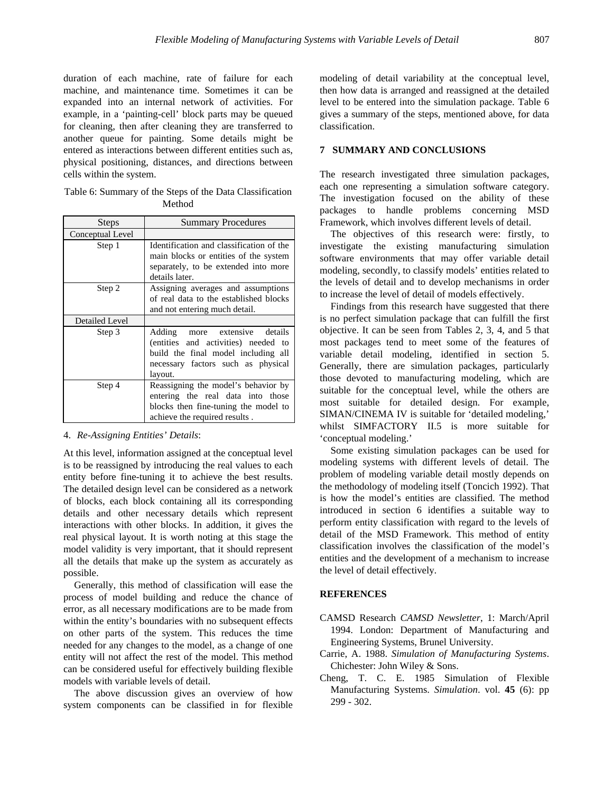duration of each machine, rate of failure for each machine, and maintenance time. Sometimes it can be expanded into an internal network of activities. For example, in a 'painting-cell' block parts may be queued for cleaning, then after cleaning they are transferred to another queue for painting. Some details might be entered as interactions between different entities such as, physical positioning, distances, and directions between cells within the system.

Table 6: Summary of the Steps of the Data Classification Method

| <b>Steps</b>          | <b>Summary Procedures</b>                                                                                                                                       |
|-----------------------|-----------------------------------------------------------------------------------------------------------------------------------------------------------------|
| Conceptual Level      |                                                                                                                                                                 |
| Step 1                | Identification and classification of the<br>main blocks or entities of the system<br>separately, to be extended into more<br>details later.                     |
| Step 2                | Assigning averages and assumptions<br>of real data to the established blocks<br>and not entering much detail.                                                   |
| <b>Detailed Level</b> |                                                                                                                                                                 |
| Step 3                | more extensive details<br>Adding<br>(entities and activities) needed to<br>build the final model including all<br>necessary factors such as physical<br>layout. |
| Step 4                | Reassigning the model's behavior by<br>entering the real data into those<br>blocks then fine-tuning the model to<br>achieve the required results.               |

## 4. *Re-Assigning Entities' Details*:

At this level, information assigned at the conceptual level is to be reassigned by introducing the real values to each entity before fine-tuning it to achieve the best results. The detailed design level can be considered as a network of blocks, each block containing all its corresponding details and other necessary details which represent interactions with other blocks. In addition, it gives the real physical layout. It is worth noting at this stage the model validity is very important, that it should represent all the details that make up the system as accurately as possible.

Generally, this method of classification will ease the process of model building and reduce the chance of error, as all necessary modifications are to be made from within the entity's boundaries with no subsequent effects on other parts of the system. This reduces the time needed for any changes to the model, as a change of one entity will not affect the rest of the model. This method can be considered useful for effectively building flexible models with variable levels of detail.

The above discussion gives an overview of how system components can be classified in for flexible modeling of detail variability at the conceptual level, then how data is arranged and reassigned at the detailed level to be entered into the simulation package. Table 6 gives a summary of the steps, mentioned above, for data classification.

## **7 SUMMARY AND CONCLUSIONS**

The research investigated three simulation packages, each one representing a simulation software category. The investigation focused on the ability of these packages to handle problems concerning MSD Framework, which involves different levels of detail.

The objectives of this research were: firstly, to investigate the existing manufacturing simulation software environments that may offer variable detail modeling, secondly, to classify models' entities related to the levels of detail and to develop mechanisms in order to increase the level of detail of models effectively.

Findings from this research have suggested that there is no perfect simulation package that can fulfill the first objective. It can be seen from Tables 2, 3, 4, and 5 that most packages tend to meet some of the features of variable detail modeling, identified in section 5. Generally, there are simulation packages, particularly those devoted to manufacturing modeling, which are suitable for the conceptual level, while the others are most suitable for detailed design. For example, SIMAN/CINEMA IV is suitable for 'detailed modeling,' whilst SIMFACTORY II.5 is more suitable for 'conceptual modeling.'

Some existing simulation packages can be used for modeling systems with different levels of detail. The problem of modeling variable detail mostly depends on the methodology of modeling itself (Toncich 1992). That is how the model's entities are classified. The method introduced in section 6 identifies a suitable way to perform entity classification with regard to the levels of detail of the MSD Framework. This method of entity classification involves the classification of the model's entities and the development of a mechanism to increase the level of detail effectively.

## **REFERENCES**

- CAMSD Research *CAMSD Newsletter*, 1: March/April 1994. London: Department of Manufacturing and Engineering Systems, Brunel University.
- Carrie, A. 1988. *Simulation of Manufacturing Systems*. Chichester: John Wiley & Sons.
- Cheng, T. C. E. 1985 Simulation of Flexible Manufacturing Systems. *Simulation*. vol. **45** (6): pp 299 - 302.